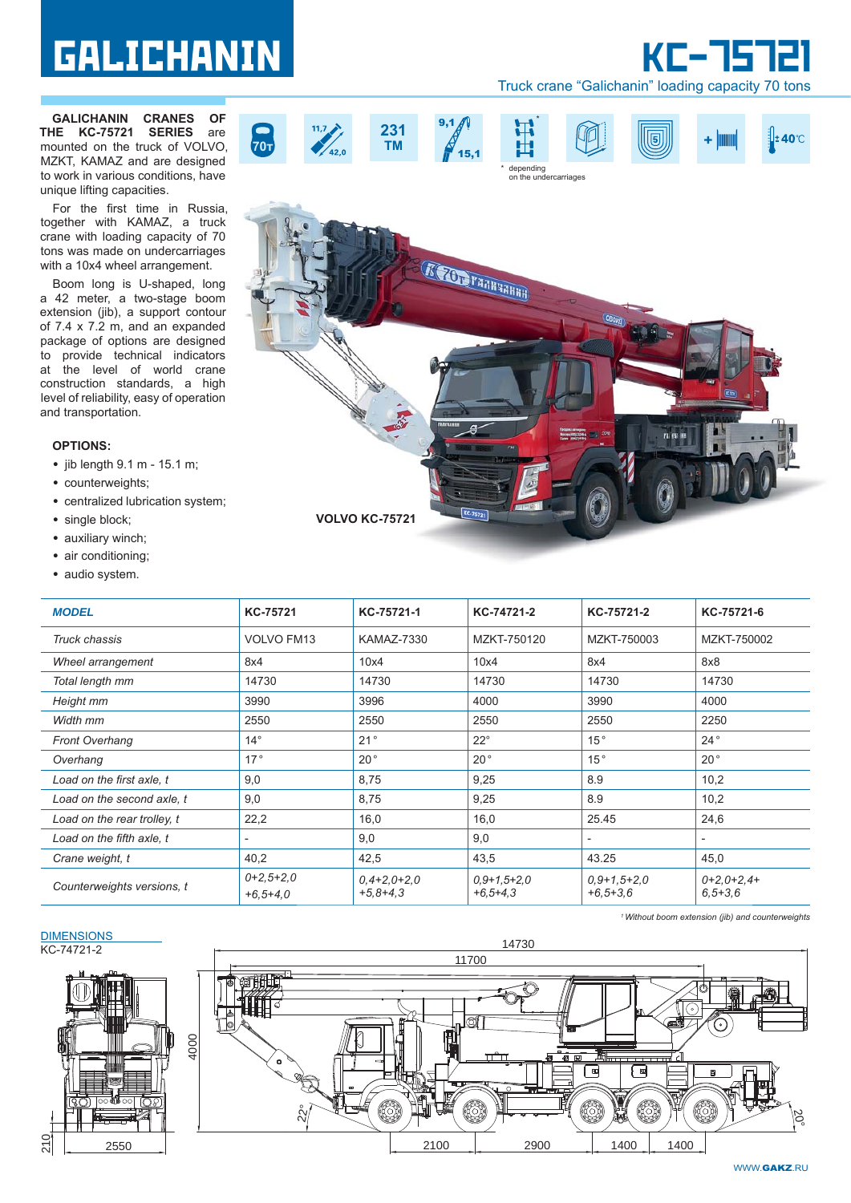# **GALICHANIN**

**GALICHANIN CRANES OF THE KC-75721 SERIES** are mounted on the truck of VOLVO, MZKT, KAMAZ and are designed to work in various conditions, have unique lifting capacities.

For the first time in Russia, together with KAMAZ, a truck crane with loading capacity of 70 tons was made on undercarriages with a 10x4 wheel arrangement.

Boom long is U-shaped, long a 42 meter, a two-stage boom extension (jib), a support contour of 7.4 x 7.2 m, and an expanded package of options are designed to provide technical indicators at the level of world crane construction standards, a high level of reliability, easy of operation and transportation.

## **OPTIONS:**

- jib length 9.1 m 15.1 m;
- counterweights;
- centralized lubrication system;
- single block;
- auxiliary winch;
- air conditioning;
- audio system.

| • audio system.             |                           |                             |                                 |                             |                               |
|-----------------------------|---------------------------|-----------------------------|---------------------------------|-----------------------------|-------------------------------|
| <b>MODEL</b>                | KC-75721                  | KC-75721-1                  | KC-74721-2                      | KC-75721-2                  | KC-75721-6                    |
| Truck chassis               | <b>VOLVO FM13</b>         | <b>KAMAZ-7330</b>           | MZKT-750120                     | MZKT-750003                 | MZKT-750002                   |
| Wheel arrangement           | 8x4                       | 10x4                        | 10x4                            | 8x4                         | 8x8                           |
| Total length mm             | 14730                     | 14730                       | 14730                           | 14730                       | 14730                         |
| Height mm                   | 3990                      | 3996                        | 4000                            | 3990                        | 4000                          |
| Width mm                    | 2550                      | 2550                        | 2550                            | 2550                        | 2250                          |
| <b>Front Overhang</b>       | $14^{\circ}$              | 21°                         | $22^{\circ}$                    | 15°                         | $24^{\circ}$                  |
| Overhang                    | 17°                       | $20^{\circ}$                | $20^{\circ}$                    | 15°                         | $20^{\circ}$                  |
| Load on the first axle, t   | 9,0                       | 8,75                        | 9,25                            | 8.9                         | 10,2                          |
| Load on the second axle, t  | 9,0                       | 8,75                        | 9,25                            | 8.9                         | 10,2                          |
| Load on the rear trolley, t | 22,2                      | 16,0                        | 16,0                            | 25.45                       | 24,6                          |
| Load on the fifth axle, t   | $\overline{\phantom{0}}$  | 9,0                         | 9,0                             | $\overline{\phantom{0}}$    | $\overline{\phantom{a}}$      |
| Crane weight, t             | 40,2                      | 42,5                        | 43,5                            | 43.25                       | 45,0                          |
| Counterweights versions, t  | $0+2,5+2,0$<br>$+6,5+4,0$ | $0,4+2,0+2,0$<br>$+5,8+4,3$ | $0.9 + 1.5 + 2.0$<br>$+6,5+4,3$ | $0,9+1,5+2,0$<br>$+6,5+3,6$ | $0+2,0+2,4+$<br>$6, 5 + 3, 6$ |

#### **DIMENSIONS** KС-74721-2







\*

*1 Without boom extension (jib) and counterweights*



Truck crane "Galichanin" loading capacity 70 tons